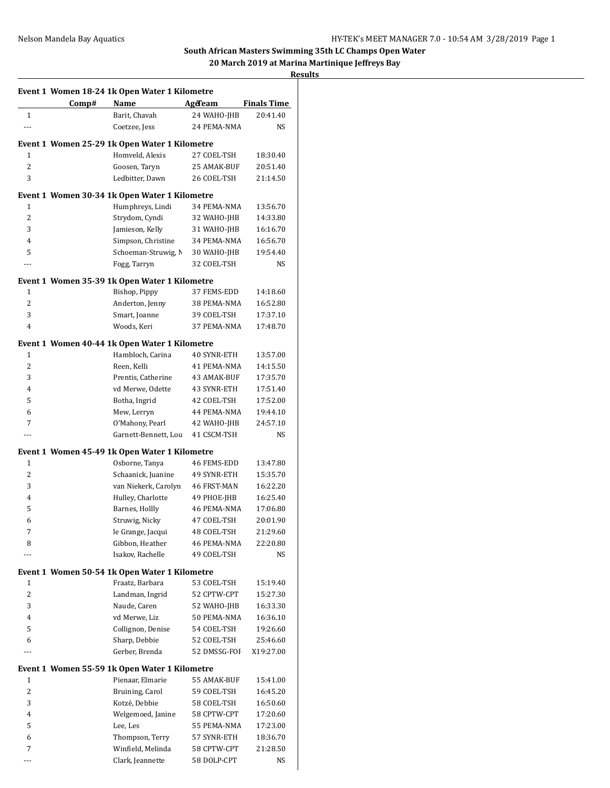# **South African Masters Swimming 35th LC Champs Open Water**

**20 March 2019 at Marina Martinique Jeffreys Bay**

## **Results**

|                |       | Event 1 Women 18-24 1k Open Water 1 Kilometre |                    |                    |
|----------------|-------|-----------------------------------------------|--------------------|--------------------|
|                | Comp# | Name                                          | AgeTeam            | <b>Finals Time</b> |
| $\mathbf{1}$   |       | Barit, Chavah                                 | 24 WAHO-JHB        | 20:41.40           |
| $\overline{a}$ |       | Coetzee, Jess                                 | 24 PEMA-NMA        | <b>NS</b>          |
|                |       | Event 1 Women 25-29 1k Open Water 1 Kilometre |                    |                    |
| 1              |       | Homveld, Alexis                               | 27 COEL-TSH        | 18:30.40           |
| $\overline{c}$ |       | Goosen, Taryn                                 | 25 AMAK-BUF        | 20:51.40           |
| 3              |       | Ledbitter, Dawn                               | 26 COEL-TSH        | 21:14.50           |
|                |       |                                               |                    |                    |
|                |       | Event 1 Women 30-34 1k Open Water 1 Kilometre |                    |                    |
| 1              |       | Humphreys, Lindi                              | 34 PEMA-NMA        | 13:56.70           |
| $\overline{2}$ |       | Strydom, Cyndi                                | 32 WAHO-JHB        | 14:33.80           |
| 3              |       | Jamieson, Kelly                               | 31 WAHO-JHB        | 16:16.70           |
| $\overline{4}$ |       | Simpson, Christine                            | 34 PEMA-NMA        | 16:56.70           |
| 5              |       | Schoeman-Struwig, N                           | 30 WAHO-JHB        | 19:54.40           |
| ---            |       | Fogg, Tarryn                                  | 32 COEL-TSH        | NS                 |
|                |       | Event 1 Women 35-39 1k Open Water 1 Kilometre |                    |                    |
| 1              |       | Bishop, Pippy                                 | 37 FEMS-EDD        | 14:18.60           |
| $\overline{c}$ |       | Anderton, Jenny                               | 38 PEMA-NMA        | 16:52.80           |
| 3              |       | Smart, Joanne                                 | 39 COEL-TSH        | 17:37.10           |
| 4              |       | Woods, Keri                                   | 37 PEMA-NMA        | 17:48.70           |
|                |       | Event 1 Women 40-44 1k Open Water 1 Kilometre |                    |                    |
| 1              |       | Hambloch, Carina                              | <b>40 SYNR-ETH</b> | 13:57.00           |
| $\overline{2}$ |       | Reen, Kelli                                   | 41 PEMA-NMA        | 14:15.50           |
| 3              |       | Prentis, Catherine                            | 43 AMAK-BUF        | 17:35.70           |
| 4              |       | vd Merwe, Odette                              | 43 SYNR-ETH        | 17:51.40           |
| 5              |       | Botha, Ingrid                                 | 42 COEL-TSH        | 17:52.00           |
| 6              |       | Mew, Lerryn                                   | 44 PEMA-NMA        | 19:44.10           |
| 7              |       | O'Mahony, Pearl                               | 42 WAHO-JHB        | 24:57.10           |
| $---$          |       | Garnett-Bennett, Lou                          | 41 CSCM-TSH        | NS                 |
|                |       | Event 1 Women 45-49 1k Open Water 1 Kilometre |                    |                    |
| 1              |       | Osborne, Tanya                                | 46 FEMS-EDD        | 13:47.80           |
| $\overline{2}$ |       | Schaanick, Juanine                            | 49 SYNR-ETH        | 15:35.70           |
| 3              |       | van Niekerk, Carolyn                          | 46 FRST-MAN        | 16:22.20           |
| $\overline{4}$ |       | Hulley, Charlotte                             | 49 PHOE-JHB        | 16:25.40           |
| 5              |       | Barnes, Hollly                                | 46 PEMA-NMA        | 17:06.80           |
| 6              |       | Struwig, Nicky                                | 47 COEL-TSH        | 20:01.90           |
| 7              |       | le Grange, Jacqui                             | 48 COEL-TSH        | 21:29.60           |
| 8              |       | Gibbon, Heather                               | 46 PEMA-NMA        | 22:20.80           |
|                |       | Isakov, Rachelle                              | 49 COEL-TSH        | NS                 |
|                |       | Event 1 Women 50-54 1k Open Water 1 Kilometre |                    |                    |
| 1              |       | Fraatz, Barbara                               | 53 COEL-TSH        | 15:19.40           |
| 2              |       | Landman, Ingrid                               | 52 CPTW-CPT        | 15:27.30           |
| 3              |       | Naude, Caren                                  | 52 WAHO-JHB        | 16:33.30           |
| $\overline{4}$ |       | vd Merwe, Liz                                 | 50 PEMA-NMA        | 16:36.10           |
| 5              |       | Collignon, Denise                             | 54 COEL-TSH        | 19:26.60           |
| 6              |       | Sharp, Debbie                                 | 52 COEL-TSH        | 25:46.60           |
|                |       | Gerber, Brenda                                | 52 DMSSG-FOI       | X19:27.00          |
|                |       | Event 1 Women 55-59 1k Open Water 1 Kilometre |                    |                    |
| 1              |       | Pienaar, Elmarie                              | 55 AMAK-BUF        | 15:41.00           |
| 2              |       | Bruining, Carol                               | 59 COEL-TSH        | 16:45.20           |
| 3              |       | Kotzé, Debbie                                 | 58 COEL-TSH        | 16:50.60           |
| 4              |       | Welgemoed, Janine                             | 58 CPTW-CPT        | 17:20.60           |
| 5              |       | Lee, Les                                      | 55 PEMA-NMA        | 17:23.00           |
| 6              |       | Thompson, Terry                               | 57 SYNR-ETH        | 18:36.70           |
| 7              |       | Winfield, Melinda                             | 58 CPTW-CPT        | 21:28.50           |
| ---            |       | Clark, Jeannette                              | 58 DOLP-CPT        | NS                 |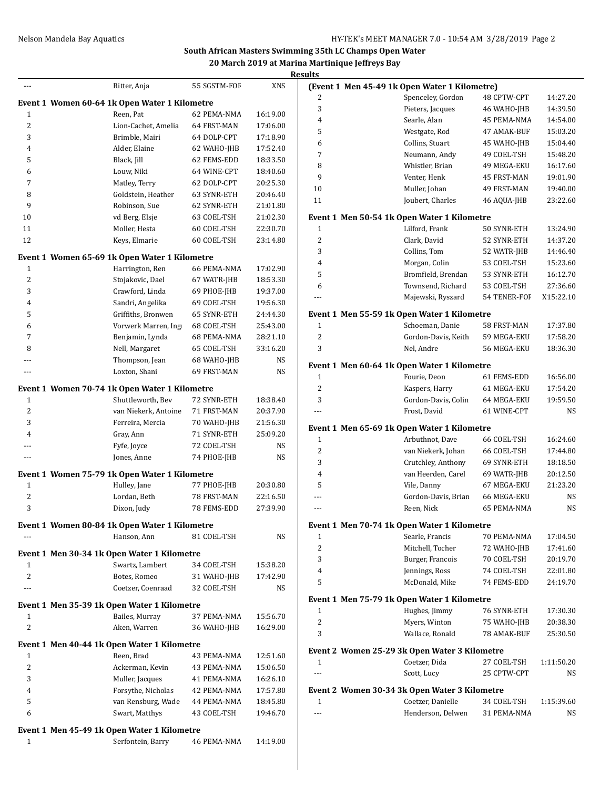#### **South African Masters Swimming 35th LC Champs Open Water 20 March 2019 at Marina Martinique Jeffreys Bay Results**

|                | Ritter, Anja                                  | 55 SGSTM-FOF | XNS      |
|----------------|-----------------------------------------------|--------------|----------|
|                | Event 1 Women 60-64 1k Open Water 1 Kilometre |              |          |
| 1              | Reen, Pat                                     | 62 PEMA-NMA  | 16:19.00 |
| 2              | Lion-Cachet, Amelia                           | 64 FRST-MAN  | 17:06.00 |
| 3              | Brimble, Mairi                                | 64 DOLP-CPT  | 17:18.90 |
| 4              | Alder, Elaine                                 | 62 WAHO-JHB  | 17:52.40 |
| 5              | Black, Jill                                   | 62 FEMS-EDD  | 18:33.50 |
| 6              | Louw, Niki                                    | 64 WINE-CPT  | 18:40.60 |
| 7              | Matley, Terry                                 | 62 DOLP-CPT  | 20:25.30 |
| 8              | Goldstein, Heather                            | 63 SYNR-ETH  | 20:46.40 |
| 9              | Robinson, Sue                                 | 62 SYNR-ETH  | 21:01.80 |
| 10             | vd Berg, Elsje                                | 63 COEL-TSH  | 21:02.30 |
| 11             | Moller, Hesta                                 | 60 COEL-TSH  | 22:30.70 |
| 12             | Keys, Elmarie                                 | 60 COEL-TSH  | 23:14.80 |
|                | Event 1 Women 65-69 1k Open Water 1 Kilometre |              |          |
| 1              | Harrington, Ren                               | 66 PEMA-NMA  | 17:02.90 |
| $\overline{2}$ | Stojakovic, Dael                              | 67 WATR-JHB  | 18:53.30 |
| 3              | Crawford, Linda                               | 69 PHOE-JHB  | 19:37.00 |
| 4              | Sandri, Angelika                              | 69 COEL-TSH  | 19:56.30 |
| 5              | Griffiths, Bronwen                            | 65 SYNR-ETH  | 24:44.30 |
| 6              | Vorwerk Marren, Ing                           | 68 COEL-TSH  | 25:43.00 |
| 7              | Benjamin, Lynda                               | 68 PEMA-NMA  | 28:21.10 |
| 8              | Nell, Margaret                                | 65 COEL-TSH  | 33:16.20 |
|                | Thompson, Jean                                | 68 WAHO-JHB  | NS       |
| ---            | Loxton, Shani                                 | 69 FRST-MAN  | NS       |
|                |                                               |              |          |
|                | Event 1 Women 70-74 1k Open Water 1 Kilometre |              |          |
| 1              | Shuttleworth, Bev                             | 72 SYNR-ETH  | 18:38.40 |
| 2              | van Niekerk, Antoine                          | 71 FRST-MAN  | 20:37.90 |
| 3              | Ferreira, Mercia                              | 70 WAHO-JHB  | 21:56.30 |
| 4              | Gray, Ann                                     | 71 SYNR-ETH  | 25:09.20 |
|                | Fyfe, Joyce                                   | 72 COEL-TSH  | NS       |
|                | Jones, Anne                                   | 74 PHOE-JHB  | NS       |
|                | Event 1 Women 75-79 1k Open Water 1 Kilometre |              |          |
| 1              | Hulley, Jane                                  | 77 PHOE-JHB  | 20:30.80 |
| 2              | Lordan, Beth                                  | 78 FRST-MAN  | 22:16.50 |
| 3              | Dixon, Judy                                   | 78 FEMS-EDD  | 27:39.90 |
|                | Event 1 Women 80-84 1k Open Water 1 Kilometre |              |          |
|                | Hanson. Ann                                   | 81 COEL-TSH  | NS       |
|                | Event 1 Men 30-34 1k Open Water 1 Kilometre   |              |          |
| 1              | Swartz, Lambert                               | 34 COEL-TSH  | 15:38.20 |
| 2              | Botes, Romeo                                  | 31 WAHO-JHB  | 17:42.90 |
| ---            | Coetzer, Coenraad                             | 32 COEL-TSH  | NS       |
|                |                                               |              |          |
|                | Event 1 Men 35-39 1k Open Water 1 Kilometre   |              |          |
| 1              | Bailes, Murray                                | 37 PEMA-NMA  | 15:56.70 |
| $\overline{c}$ | Aken, Warren                                  | 36 WAHO-JHB  | 16:29.00 |
|                | Event 1 Men 40-44 1k Open Water 1 Kilometre   |              |          |
| 1              | Reen, Brad                                    | 43 PEMA-NMA  | 12:51.60 |
| 2              | Ackerman, Kevin                               | 43 PEMA-NMA  | 15:06.50 |
| 3              | Muller, Jacques                               | 41 PEMA-NMA  | 16:26.10 |
| 4              | Forsythe, Nicholas                            | 42 PEMA-NMA  | 17:57.80 |
| 5              | van Rensburg, Wade                            | 44 PEMA-NMA  | 18:45.80 |
| 6              | Swart, Matthys                                | 43 COEL-TSH  | 19:46.70 |
|                |                                               |              |          |
|                | Event 1 Men 45-49 1k Open Water 1 Kilometre   |              |          |
| 1              | Serfontein, Barry                             | 46 PEMA-NMA  | 14:19.00 |

|                | (Event 1 Men 45-49 1k Open Water 1 Kilometre) |              |            |
|----------------|-----------------------------------------------|--------------|------------|
| 2              | Spenceley, Gordon                             | 48 CPTW-CPT  | 14:27.20   |
| 3              | Pieters, Jacques                              | 46 WAHO-JHB  | 14:39.50   |
| 4              | Searle, Alan                                  | 45 PEMA-NMA  | 14:54.00   |
| 5              | Westgate, Rod                                 | 47 AMAK-BUF  | 15:03.20   |
| 6              | Collins, Stuart                               | 45 WAHO-JHB  | 15:04.40   |
| 7              | Neumann, Andy                                 | 49 COEL-TSH  | 15:48.20   |
| 8              | Whistler, Brian                               | 49 MEGA-EKU  | 16:17.60   |
| 9              | Venter, Henk                                  | 45 FRST-MAN  | 19:01.90   |
| 10             | Muller, Johan                                 | 49 FRST-MAN  | 19:40.00   |
| 11             | Joubert, Charles                              | 46 AQUA-JHB  | 23:22.60   |
|                | Event 1 Men 50-54 1k Open Water 1 Kilometre   |              |            |
| 1              | Lilford, Frank                                | 50 SYNR-ETH  | 13:24.90   |
| 2              | Clark, David                                  | 52 SYNR-ETH  | 14:37.20   |
| 3              | Collins, Tom                                  | 52 WATR-JHB  | 14:46.40   |
| 4              | Morgan, Colin                                 | 53 COEL-TSH  | 15:23.60   |
| 5              | Bromfield, Brendan                            | 53 SYNR-ETH  | 16:12.70   |
| 6              | Townsend, Richard                             | 53 COEL-TSH  | 27:36.60   |
| ---            | Majewski, Ryszard                             | 54 TENER-FOF | X15:22.10  |
|                | Event 1 Men 55-59 1k Open Water 1 Kilometre   |              |            |
| 1              | Schoeman, Danie                               | 58 FRST-MAN  | 17:37.80   |
| $\overline{2}$ | Gordon-Davis, Keith                           | 59 MEGA-EKU  | 17:58.20   |
| 3              | Nel, Andre                                    | 56 MEGA-EKU  | 18:36.30   |
|                | Event 1 Men 60-64 1k Open Water 1 Kilometre   |              |            |
| $\mathbf{1}$   | Fourie, Deon                                  | 61 FEMS-EDD  | 16:56.00   |
| $\overline{2}$ | Kaspers, Harry                                | 61 MEGA-EKU  | 17:54.20   |
| 3              | Gordon-Davis, Colin                           | 64 MEGA-EKU  | 19:59.50   |
|                | Frost, David                                  | 61 WINE-CPT  | <b>NS</b>  |
|                | Event 1 Men 65-69 1k Open Water 1 Kilometre   |              |            |
| $\mathbf{1}$   | Arbuthnot, Dave                               | 66 COEL-TSH  | 16:24.60   |
| $\overline{2}$ | van Niekerk, Johan                            | 66 COEL-TSH  | 17:44.80   |
| 3              | Crutchley, Anthony                            | 69 SYNR-ETH  | 18:18.50   |
| 4              | van Heerden, Carel                            | 69 WATR-JHB  | 20:12.50   |
| 5              | Vile, Danny                                   | 67 MEGA-EKU  | 21:23.20   |
| ---            | Gordon-Davis, Brian                           | 66 MEGA-EKU  | NS         |
|                | Reen, Nick                                    | 65 PEMA-NMA  | NS         |
|                | Event 1 Men 70-74 1k Open Water 1 Kilometre   |              |            |
| 1              | Searle, Francis                               | 70 PEMA-NMA  | 17:04.50   |
| 2              | Mitchell, Tocher                              | 72 WAHO-JHB  | 17:41.60   |
| 3              | Burger, Francois                              | 70 COEL-TSH  | 20:19.70   |
| 4              | Jennings, Ross                                | 74 COEL-TSH  | 22:01.80   |
| 5              | McDonald, Mike                                | 74 FEMS-EDD  | 24:19.70   |
|                | Event 1 Men 75-79 1k Open Water 1 Kilometre   |              |            |
| 1              | Hughes, Jimmy                                 | 76 SYNR-ETH  | 17:30.30   |
| 2              | Myers, Winton                                 | 75 WAHO-JHB  | 20:38.30   |
| 3              | Wallace, Ronald                               | 78 AMAK-BUF  | 25:30.50   |
|                | Event 2 Women 25-29 3k Open Water 3 Kilometre |              |            |
| $\mathbf{1}$   | Coetzer, Dida                                 | 27 COEL-TSH  | 1:11:50.20 |
| $---$          | Scott, Lucy                                   | 25 CPTW-CPT  | NS         |
|                | Event 2 Women 30-34 3k Open Water 3 Kilometre |              |            |
| 1              | Coetzer, Danielle                             | 34 COEL-TSH  | 1:15:39.60 |
| $\overline{a}$ | Henderson, Delwen                             | 31 PEMA-NMA  | NS         |
|                |                                               |              |            |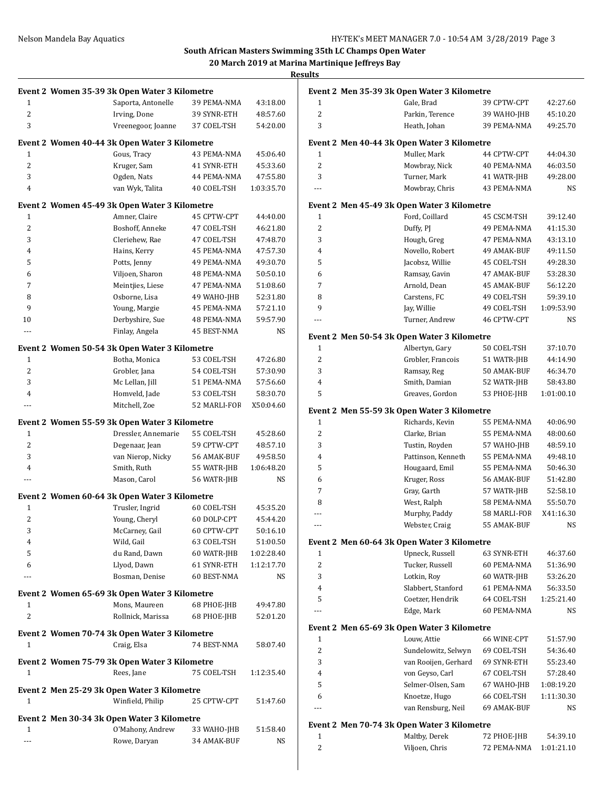#### **South African Masters Swimming 35th LC Champs Open Water 20 March 2019 at Marina Martinique Jeffreys Bay**

**Results**

|                |                                             | Event 2 Women 35-39 3k Open Water 3 Kilometre |                            |                |
|----------------|---------------------------------------------|-----------------------------------------------|----------------------------|----------------|
| 1              |                                             | Saporta, Antonelle                            | 39 PEMA-NMA                | 43:18.00       |
| $\overline{2}$ |                                             | Irving, Done                                  | 39 SYNR-ETH                | 48:57.60       |
| 3              |                                             | Vreenegoor, Joanne                            | 37 COEL-TSH                | 54:20.00       |
|                |                                             | Event 2 Women 40-44 3k Open Water 3 Kilometre |                            |                |
| 1              |                                             | Gous, Tracy                                   | 43 PEMA-NMA                | 45:06.40       |
| $\overline{2}$ |                                             | Kruger, Sam                                   | 41 SYNR-ETH                | 45:33.60       |
| 3              |                                             | Ogden, Nats                                   | 44 PEMA-NMA                | 47:55.80       |
| $\overline{4}$ |                                             | van Wyk, Talita                               | 40 COEL-TSH                | 1:03:35.70     |
|                |                                             | Event 2 Women 45-49 3k Open Water 3 Kilometre |                            |                |
| 1              |                                             | Amner, Claire                                 | 45 CPTW-CPT                | 44:40.00       |
| $\overline{2}$ |                                             | Boshoff, Anneke                               | 47 COEL-TSH                | 46:21.80       |
| 3              |                                             | Cleriehew, Rae                                | 47 COEL-TSH                | 47:48.70       |
| $\overline{4}$ |                                             | Hains, Kerry                                  | 45 PEMA-NMA                | 47:57.30       |
| 5              |                                             | Potts, Jenny                                  | 49 PEMA-NMA                | 49:30.70       |
| 6              |                                             | Viljoen, Sharon                               | 48 PEMA-NMA                | 50:50.10       |
| 7              |                                             | Meintjies, Liese                              | 47 PEMA-NMA                | 51:08.60       |
| 8              |                                             | Osborne, Lisa                                 | 49 WAHO-JHB                | 52:31.80       |
| 9              |                                             | Young, Margie                                 | 45 PEMA-NMA                | 57:21.10       |
| 10             |                                             | Derbyshire, Sue                               | 48 PEMA-NMA                | 59:57.90       |
| ---            |                                             | Finlay, Angela                                | 45 BEST-NMA                | NS             |
|                |                                             | Event 2 Women 50-54 3k Open Water 3 Kilometre |                            |                |
| 1              |                                             | Botha, Monica                                 | 53 COEL-TSH                | 47:26.80       |
| 2              |                                             | Grobler, Jana                                 | 54 COEL-TSH                | 57:30.90       |
| 3              |                                             | Mc Lellan, Jill                               | 51 PEMA-NMA                | 57:56.60       |
| $\overline{4}$ |                                             | Homveld, Jade                                 | 53 COEL-TSH                | 58:30.70       |
| $\overline{a}$ |                                             | Mitchell, Zoe                                 | 52 MARLI-FOF               | X50:04.60      |
|                |                                             | Event 2 Women 55-59 3k Open Water 3 Kilometre |                            |                |
| 1              |                                             | Dressler, Annemarie                           | 55 COEL-TSH                | 45:28.60       |
| $\overline{2}$ |                                             | Degenaar, Jean                                | 59 CPTW-CPT                | 48:57.10       |
| 3              |                                             | van Nierop, Nicky                             | 56 AMAK-BUF                | 49:58.50       |
| 4              |                                             | Smith, Ruth                                   | 55 WATR-JHB                | 1:06:48.20     |
| $\overline{a}$ |                                             | Mason, Carol                                  | 56 WATR-JHB                | NS             |
|                |                                             |                                               |                            |                |
|                |                                             | Event 2 Women 60-64 3k Open Water 3 Kilometre |                            |                |
| 1              |                                             | Trusler, Ingrid                               | 60 COEL-TSH                | 45:35.20       |
| $\overline{2}$ |                                             | Young, Cheryl                                 | 60 DOLP-CPT                | 45:44.20       |
| 3              |                                             | McCarney, Gail                                | 60 CPTW-CPT                | 50:16.10       |
| 4              |                                             | Wild, Gail                                    | 63 COEL-TSH                | 51:00.50       |
| 5              |                                             | du Rand, Dawn                                 | 60 WATR-JHB                | 1:02:28.40     |
| 6              |                                             | Llyod, Dawn                                   | 61 SYNR-ETH                | 1:12:17.70     |
| $\overline{a}$ |                                             | Bosman, Denise                                | 60 BEST-NMA                | NS             |
|                |                                             | Event 2 Women 65-69 3k Open Water 3 Kilometre |                            |                |
| 1              |                                             | Mons, Maureen                                 | 68 PHOE-JHB                | 49:47.80       |
| $\overline{2}$ |                                             | Rollnick, Marissa                             | 68 PHOE-JHB                | 52:01.20       |
|                |                                             | Event 2 Women 70-74 3k Open Water 3 Kilometre |                            |                |
| 1              |                                             | Craig, Elsa                                   | 74 BEST-NMA                | 58:07.40       |
|                |                                             | Event 2 Women 75-79 3k Open Water 3 Kilometre |                            |                |
| 1              |                                             | Rees, Jane                                    | 75 COEL-TSH                | 1:12:35.40     |
|                |                                             |                                               |                            |                |
|                |                                             |                                               |                            |                |
|                | Event 2 Men 25-29 3k Open Water 3 Kilometre |                                               |                            |                |
| 1              |                                             | Winfield, Philip                              | 25 CPTW-CPT                | 51:47.60       |
|                |                                             | Event 2 Men 30-34 3k Open Water 3 Kilometre   |                            |                |
| 1              |                                             | O'Mahony, Andrew<br>Rowe, Daryan              | 33 WAHO-JHB<br>34 AMAK-BUF | 51:58.40<br>NS |

|                | Event 2 Men 35-39 3k Open Water 3 Kilometre |              |            |
|----------------|---------------------------------------------|--------------|------------|
| 1              | Gale, Brad                                  | 39 CPTW-CPT  | 42:27.60   |
| $\overline{2}$ | Parkin, Terence                             | 39 WAHO-JHB  | 45:10.20   |
| 3              | Heath, Johan                                | 39 PEMA-NMA  | 49:25.70   |
|                | Event 2 Men 40-44 3k Open Water 3 Kilometre |              |            |
| 1              | Muller, Mark                                | 44 CPTW-CPT  | 44:04.30   |
| 2              | Mowbray, Nick                               | 40 PEMA-NMA  | 46:03.50   |
| 3              | Turner, Mark                                | 41 WATR-JHB  | 49:28.00   |
| ---            | Mowbray, Chris                              | 43 PEMA-NMA  | NS         |
|                | Event 2 Men 45-49 3k Open Water 3 Kilometre |              |            |
| 1              | Ford, Coillard                              | 45 CSCM-TSH  | 39:12.40   |
| 2              | Duffy, PJ                                   | 49 PEMA-NMA  | 41:15.30   |
| 3              | Hough, Greg                                 | 47 PEMA-NMA  | 43:13.10   |
| 4              | Novello, Robert                             | 49 AMAK-BUF  | 49:11.50   |
| 5              | Jacobsz, Willie                             | 45 COEL-TSH  | 49:28.30   |
| 6              | Ramsay, Gavin                               | 47 AMAK-BUF  | 53:28.30   |
| 7              | Arnold, Dean                                | 45 AMAK-BUF  | 56:12.20   |
| 8              | Carstens, FC                                | 49 COEL-TSH  | 59:39.10   |
| 9              | Jay, Willie                                 | 49 COEL-TSH  | 1:09:53.90 |
|                | Turner, Andrew                              | 46 CPTW-CPT  | NS         |
|                | Event 2 Men 50-54 3k Open Water 3 Kilometre |              |            |
| 1              | Albertyn, Gary                              | 50 COEL-TSH  | 37:10.70   |
| 2              | Grobler, Francois                           | 51 WATR-JHB  | 44:14.90   |
| 3              | Ramsay, Reg                                 | 50 AMAK-BUF  | 46:34.70   |
| 4              | Smith, Damian                               | 52 WATR-JHB  | 58:43.80   |
| 5              | Greaves, Gordon                             | 53 PHOE-JHB  | 1:01:00.10 |
|                | Event 2 Men 55-59 3k Open Water 3 Kilometre |              |            |
| 1              | Richards, Kevin                             | 55 PEMA-NMA  | 40:06.90   |
| 2              | Clarke, Brian                               | 55 PEMA-NMA  | 48:00.60   |
| 3              | Tustin, Royden                              | 57 WAHO-JHB  | 48:59.10   |
| 4              | Pattinson, Kenneth                          | 55 PEMA-NMA  | 49:48.10   |
| 5              | Hougaard, Emil                              | 55 PEMA-NMA  | 50:46.30   |
| 6              | Kruger, Ross                                | 56 AMAK-BUF  | 51:42.80   |
| 7              | Gray, Garth                                 | 57 WATR-JHB  | 52:58.10   |
| 8              | West, Ralph                                 | 58 PEMA-NMA  | 55:50.70   |
| ---            | Murphy, Paddy                               | 58 MARLI-FOR | X41:16.30  |
| ---            | Webster, Craig                              | 55 AMAK-BUF  | NS         |
|                | Event 2 Men 60-64 3k Open Water 3 Kilometre |              |            |
| 1              | Upneck, Russell                             | 63 SYNR-ETH  | 46:37.60   |
| 2              | Tucker, Russell                             | 60 PEMA-NMA  | 51:36.90   |
| 3              | Lotkin, Roy                                 | 60 WATR-JHB  | 53:26.20   |
| 4              | Slabbert, Stanford                          | 61 PEMA-NMA  | 56:33.50   |
| 5              | Coetzer, Hendrik                            | 64 COEL-TSH  | 1:25:21.40 |
| ---            | Edge, Mark                                  | 60 PEMA-NMA  | NS         |
|                | Event 2 Men 65-69 3k Open Water 3 Kilometre |              |            |
| 1              | Louw, Attie                                 | 66 WINE-CPT  | 51:57.90   |
| 2              | Sundelowitz, Selwyn                         | 69 COEL-TSH  | 54:36.40   |
| 3              | van Rooijen, Gerhard                        | 69 SYNR-ETH  | 55:23.40   |
| 4              | von Geyso, Carl                             | 67 COEL-TSH  | 57:28.40   |
| 5              | Selmer-Olsen, Sam                           | 67 WAHO-JHB  | 1:08:19.20 |
| 6              | Knoetze, Hugo                               | 66 COEL-TSH  | 1:11:30.30 |
|                | van Rensburg, Neil                          | 69 AMAK-BUF  | NS         |
|                | Event 2 Men 70-74 3k Open Water 3 Kilometre |              |            |
| 1              | Maltby, Derek                               | 72 PHOE-JHB  | 54:39.10   |
| 2              | Viljoen, Chris                              | 72 PEMA-NMA  | 1:01:21.10 |
|                |                                             |              |            |